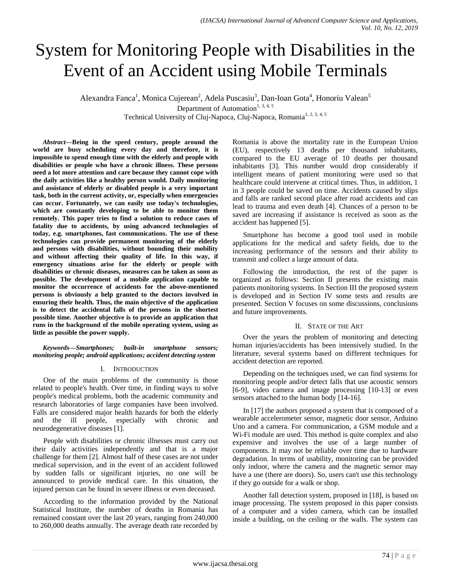# System for Monitoring People with Disabilities in the Event of an Accident using Mobile Terminals

Alexandra Fanca<sup>1</sup>, Monica Cujerean<sup>2</sup>, Adela Puscasiu<sup>3</sup>, Dan-Ioan Gota<sup>4</sup>, Honoriu Valean<sup>5</sup> Department of Automation<sup>1, 3, 4, 5</sup>

Technical University of Cluj-Napoca, Cluj-Napoca, Romania<sup>1, 2, 3, 4, 5</sup>

*Abstract***—Being in the speed century, people around the world are busy scheduling every day and therefore, it is impossible to spend enough time with the elderly and people with disabilities or people who have a chronic illness. These persons need a lot more attention and care because they cannot cope with the daily activities like a healthy person would. Daily monitoring and assistance of elderly or disabled people is a very important task, both in the current activity, or, especially when emergencies can occur. Fortunately, we can easily use today's technologies, which are constantly developing to be able to monitor them remotely. This paper tries to find a solution to reduce cases of fatality due to accidents, by using advanced technologies of today, e.g. smartphones, fast communications. The use of these technologies can provide permanent monitoring of the elderly and persons with disabilities, without bounding their mobility and without affecting their quality of life. In this way, if emergency situations arise for the elderly or people with disabilities or chronic diseases, measures can be taken as soon as possible. The development of a mobile application capable to monitor the occurrence of accidents for the above-mentioned persons is obviously a help granted to the doctors involved in ensuring their health. Thus, the main objective of the application is to detect the accidental falls of the persons in the shortest possible time. Another objective is to provide an application that runs in the background of the mobile operating system, using as little as possible the power supply.**

*Keywords—Smartphones; built-in smartphone sensors; monitoring people; android applications; accident detecting system*

#### I. INTRODUCTION

One of the main problems of the community is those related to people's health. Over time, in finding ways to solve people's medical problems, both the academic community and research laboratories of large companies have been involved. Falls are considered major health hazards for both the elderly and the ill people, especially with chronic and neurodegenerative diseases [1].

People with disabilities or chronic illnesses must carry out their daily activities independently and that is a major challenge for them [2]. Almost half of these cases are not under medical supervision, and in the event of an accident followed by sudden falls or significant injuries, no one will be announced to provide medical care. In this situation, the injured person can be found in severe illness or even deceased.

According to the information provided by the National Statistical Institute, the number of deaths in Romania has remained constant over the last 20 years, ranging from 240,000 to 260,000 deaths annually. The average death rate recorded by Romania is above the mortality rate in the European Union (EU), respectively 13 deaths per thousand inhabitants, compared to the EU average of 10 deaths per thousand inhabitants [3]. This number would drop considerably if intelligent means of patient monitoring were used so that healthcare could intervene at critical times. Thus, in addition, 1 in 3 people could be saved on time. Accidents caused by slips and falls are ranked second place after road accidents and can lead to trauma and even death [4]. Chances of a person to be saved are increasing if assistance is received as soon as the accident has happened [5].

Smartphone has become a good tool used in mobile applications for the medical and safety fields, due to the increasing performance of the sensors and their ability to transmit and collect a large amount of data.

Following the introduction, the rest of the paper is organized as follows: Section II presents the existing main patients monitoring systems. In Section III the proposed system is developed and in Section IV some tests and results are presented. Section V focuses on some discussions, conclusions and future improvements.

## II. STATE OF THE ART

Over the years the problem of monitoring and detecting human injuries/accidents has been intensively studied. In the literature, several systems based on different techniques for accident detection are reported.

Depending on the techniques used, we can find systems for monitoring people and/or detect falls that use acoustic sensors [6-9], video camera and image processing [10-13] or even sensors attached to the human body [14-16].

In [17] the authors proposed a system that is composed of a wearable accelerometer sensor, magnetic door sensor, Arduino Uno and a camera. For communication, a GSM module and a Wi-Fi module are used. This method is quite complex and also expensive and involves the use of a large number of components. It may not be reliable over time due to hardware degradation. In terms of usability, monitoring can be provided only indoor, where the camera and the magnetic sensor may have a use (there are doors). So, users can't use this technology if they go outside for a walk or shop.

Another fall detection system, proposed in [18], is based on image processing. The system proposed in this paper consists of a computer and a video camera, which can be installed inside a building, on the ceiling or the walls. The system can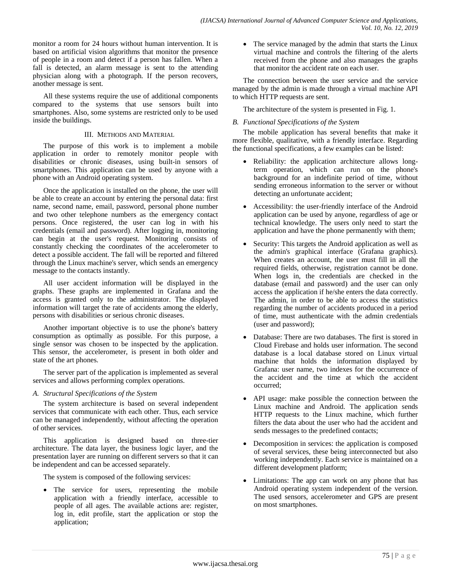monitor a room for 24 hours without human intervention. It is based on artificial vision algorithms that monitor the presence of people in a room and detect if a person has fallen. When a fall is detected, an alarm message is sent to the attending physician along with a photograph. If the person recovers, another message is sent.

All these systems require the use of additional components compared to the systems that use sensors built into smartphones. Also, some systems are restricted only to be used inside the buildings.

## III. METHODS AND MATERIAL

The purpose of this work is to implement a mobile application in order to remotely monitor people with disabilities or chronic diseases, using built-in sensors of smartphones. This application can be used by anyone with a phone with an Android operating system.

Once the application is installed on the phone, the user will be able to create an account by entering the personal data: first name, second name, email, password, personal phone number and two other telephone numbers as the emergency contact persons. Once registered, the user can log in with his credentials (email and password). After logging in, monitoring can begin at the user's request. Monitoring consists of constantly checking the coordinates of the accelerometer to detect a possible accident. The fall will be reported and filtered through the Linux machine's server, which sends an emergency message to the contacts instantly.

All user accident information will be displayed in the graphs. These graphs are implemented in Grafana and the access is granted only to the administrator. The displayed information will target the rate of accidents among the elderly, persons with disabilities or serious chronic diseases.

Another important objective is to use the phone's battery consumption as optimally as possible. For this purpose, a single sensor was chosen to be inspected by the application. This sensor, the accelerometer, is present in both older and state of the art phones.

The server part of the application is implemented as several services and allows performing complex operations.

## *A. Structural Specifications of the System*

The system architecture is based on several independent services that communicate with each other. Thus, each service can be managed independently, without affecting the operation of other services.

This application is designed based on three-tier architecture. The data layer, the business logic layer, and the presentation layer are running on different servers so that it can be independent and can be accessed separately.

The system is composed of the following services:

 The service for users, representing the mobile application with a friendly interface, accessible to people of all ages. The available actions are: register, log in, edit profile, start the application or stop the application;

• The service managed by the admin that starts the Linux virtual machine and controls the filtering of the alerts received from the phone and also manages the graphs that monitor the accident rate on each user.

The connection between the user service and the service managed by the admin is made through a virtual machine API to which HTTP requests are sent.

The architecture of the system is presented in Fig. 1.

## *B. Functional Specifications of the System*

The mobile application has several benefits that make it more flexible, qualitative, with a friendly interface. Regarding the functional specifications, a few examples can be listed:

- Reliability: the application architecture allows longterm operation, which can run on the phone's background for an indefinite period of time, without sending erroneous information to the server or without detecting an unfortunate accident;
- Accessibility: the user-friendly interface of the Android application can be used by anyone, regardless of age or technical knowledge. The users only need to start the application and have the phone permanently with them;
- Security: This targets the Android application as well as the admin's graphical interface (Grafana graphics). When creates an account, the user must fill in all the required fields, otherwise, registration cannot be done. When logs in, the credentials are checked in the database (email and password) and the user can only access the application if he/she enters the data correctly. The admin, in order to be able to access the statistics regarding the number of accidents produced in a period of time, must authenticate with the admin credentials (user and password);
- Database: There are two databases. The first is stored in Cloud Firebase and holds user information. The second database is a local database stored on Linux virtual machine that holds the information displayed by Grafana: user name, two indexes for the occurrence of the accident and the time at which the accident occurred;
- API usage: make possible the connection between the Linux machine and Android. The application sends HTTP requests to the Linux machine, which further filters the data about the user who had the accident and sends messages to the predefined contacts;
- Decomposition in services: the application is composed of several services, these being interconnected but also working independently. Each service is maintained on a different development platform;
- Limitations: The app can work on any phone that has Android operating system independent of the version. The used sensors, accelerometer and GPS are present on most smartphones.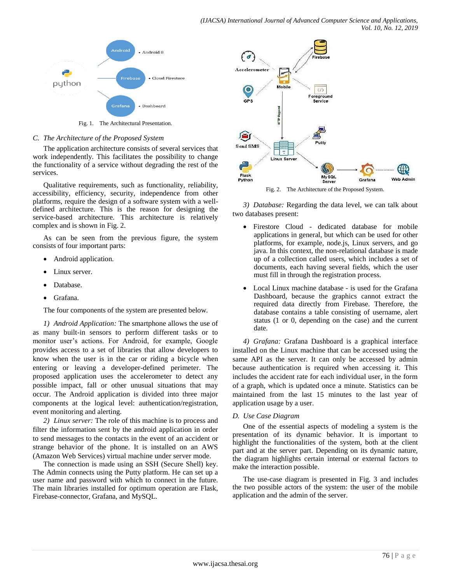

Fig. 1. The Architectural Presentation.

#### *C. The Architecture of the Proposed System*

The application architecture consists of several services that work independently. This facilitates the possibility to change the functionality of a service without degrading the rest of the services.

Qualitative requirements, such as functionality, reliability, accessibility, efficiency, security, independence from other platforms, require the design of a software system with a welldefined architecture. This is the reason for designing the service-based architecture. This architecture is relatively complex and is shown in Fig. 2.

As can be seen from the previous figure, the system consists of four important parts:

- Android application.
- Linux server.
- Database.
- Grafana.

The four components of the system are presented below.

*1) Android Application:* The smartphone allows the use of as many built-in sensors to perform different tasks or to monitor user's actions. For Android, for example, Google provides access to a set of libraries that allow developers to know when the user is in the car or riding a bicycle when entering or leaving a developer-defined perimeter. The proposed application uses the accelerometer to detect any possible impact, fall or other unusual situations that may occur. The Android application is divided into three major components at the logical level: authentication/registration, event monitoring and alerting.

*2) Linux server:* The role of this machine is to process and filter the information sent by the android application in order to send messages to the contacts in the event of an accident or strange behavior of the phone. It is installed on an AWS (Amazon Web Services) virtual machine under server mode.

The connection is made using an SSH (Secure Shell) key. The Admin connects using the Putty platform. He can set up a user name and password with which to connect in the future. The main libraries installed for optimum operation are Flask, Firebase-connector, Grafana, and MySQL.



Fig. 2. The Architecture of the Proposed System.

*3) Database:* Regarding the data level, we can talk about two databases present:

- Firestore Cloud dedicated database for mobile applications in general, but which can be used for other platforms, for example, node.js, Linux servers, and go java. In this context, the non-relational database is made up of a collection called users, which includes a set of documents, each having several fields, which the user must fill in through the registration process.
- Local Linux machine database is used for the Grafana Dashboard, because the graphics cannot extract the required data directly from Firebase. Therefore, the database contains a table consisting of username, alert status (1 or 0, depending on the case) and the current date.

*4) Grafana:* Grafana Dashboard is a graphical interface installed on the Linux machine that can be accessed using the same API as the server. It can only be accessed by admin because authentication is required when accessing it. This includes the accident rate for each individual user, in the form of a graph, which is updated once a minute. Statistics can be maintained from the last 15 minutes to the last year of application usage by a user.

## *D. Use Case Diagram*

One of the essential aspects of modeling a system is the presentation of its dynamic behavior. It is important to highlight the functionalities of the system, both at the client part and at the server part. Depending on its dynamic nature, the diagram highlights certain internal or external factors to make the interaction possible.

The use-case diagram is presented in Fig. 3 and includes the two possible actors of the system: the user of the mobile application and the admin of the server.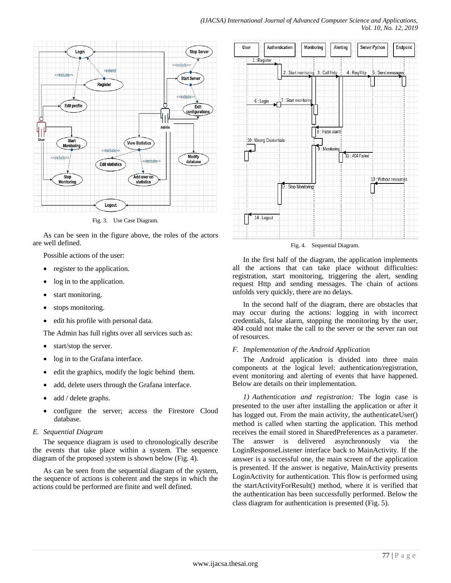

Fig. 3. Use Case Diagram.

As can be seen in the figure above, the roles of the actors are well defined.

Possible actions of the user:

- register to the application.
- log in to the application.
- start monitoring.
- stops monitoring.
- edit his profile with personal data.

The Admin has full rights over all services such as:

- start/stop the server.
- log in to the Grafana interface.
- edit the graphics, modify the logic behind them.
- add, delete users through the Grafana interface.
- add / delete graphs.
- configure the server; access the Firestore Cloud database.

## *E. Sequential Diagram*

The sequence diagram is used to chronologically describe the events that take place within a system. The sequence diagram of the proposed system is shown below (Fig. 4).

As can be seen from the sequential diagram of the system, the sequence of actions is coherent and the steps in which the actions could be performed are finite and well defined.





Fig. 4. Sequential Diagram.

In the first half of the diagram, the application implements all the actions that can take place without difficulties: registration, start monitoring, triggering the alert, sending request Http and sending messages. The chain of actions unfolds very quickly, there are no delays.

In the second half of the diagram, there are obstacles that may occur during the actions: logging in with incorrect credentials, false alarm, stopping the monitoring by the user, 404 could not make the call to the server or the server ran out of resources.

## *F. Implementation of the Android Application*

The Android application is divided into three main components at the logical level: authentication/registration, event monitoring and alerting of events that have happened. Below are details on their implementation.

*1) Authentication and registration:* The login case is presented to the user after installing the application or after it has logged out. From the main activity, the authenticateUser() method is called when starting the application. This method receives the email stored in SharedPreferences as a parameter. The answer is delivered asynchronously via the LoginResponseListener interface back to MainActivity. If the answer is a successful one, the main screen of the application is presented. If the answer is negative, MainActivity presents LoginActivity for authentication. This flow is performed using the startActivityForResult() method, where it is verified that the authentication has been successfully performed. Below the class diagram for authentication is presented (Fig. 5).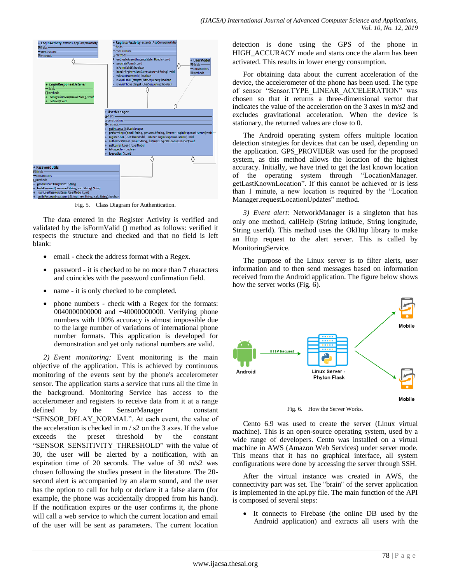

Fig. 5. Class Diagram for Authentication.

The data entered in the Register Activity is verified and validated by the isFormValid () method as follows: verified it respects the structure and checked and that no field is left blank:

- email check the address format with a Regex.
- password it is checked to be no more than 7 characters and coincides with the password confirmation field.
- name it is only checked to be completed.
- phone numbers check with a Regex for the formats: 0040000000000 and +40000000000. Verifying phone numbers with 100% accuracy is almost impossible due to the large number of variations of international phone number formats. This application is developed for demonstration and yet only national numbers are valid.

*2) Event monitoring:* Event monitoring is the main objective of the application. This is achieved by continuous monitoring of the events sent by the phone's accelerometer sensor. The application starts a service that runs all the time in the background. Monitoring Service has access to the accelerometer and registers to receive data from it at a range defined by the SensorManager constant "SENSOR\_DELAY\_NORMAL". At each event, the value of the acceleration is checked in m / s2 on the 3 axes. If the value exceeds the preset threshold by the constant "SENSOR\_SENSITIVITY\_THRESHOLD" with the value of 30, the user will be alerted by a notification, with an expiration time of 20 seconds. The value of 30 m/s2 was chosen following the studies present in the literature. The 20 second alert is accompanied by an alarm sound, and the user has the option to call for help or declare it a false alarm (for example, the phone was accidentally dropped from his hand). If the notification expires or the user confirms it, the phone will call a web service to which the current location and email of the user will be sent as parameters. The current location detection is done using the GPS of the phone in HIGH\_ACCURACY mode and starts once the alarm has been activated. This results in lower energy consumption.

For obtaining data about the current acceleration of the device, the accelerometer of the phone has been used. The type of sensor "Sensor.TYPE LINEAR ACCELERATION" was chosen so that it returns a three-dimensional vector that indicates the value of the acceleration on the 3 axes in m/s2 and excludes gravitational acceleration. When the device is stationary, the returned values are close to 0.

The Android operating system offers multiple location detection strategies for devices that can be used, depending on the application. GPS\_PROVIDER was used for the proposed system, as this method allows the location of the highest accuracy. Initially, we have tried to get the last known location of the operating system through "LocationManager. getLastKnownLocation". If this cannot be achieved or is less than 1 minute, a new location is required by the "Location" Manager.requestLocationUpdates" method.

*3) Event alert:* NetworkManager is a singleton that has only one method, callHelp (String latitude, String longitude, String userId). This method uses the OkHttp library to make an Http request to the alert server. This is called by MonitoringService.

The purpose of the Linux server is to filter alerts, user information and to then send messages based on information received from the Android application. The figure below shows how the server works (Fig. 6).



Fig. 6. How the Server Works.

Cento 6.9 was used to create the server (Linux virtual machine). This is an open-source operating system, used by a wide range of developers. Cento was installed on a virtual machine in AWS (Amazon Web Services) under server mode. This means that it has no graphical interface, all system configurations were done by accessing the server through SSH.

After the virtual instance was created in AWS, the connectivity part was set. The "brain" of the server application is implemented in the api.py file. The main function of the API is composed of several steps:

 It connects to Firebase (the online DB used by the Android application) and extracts all users with the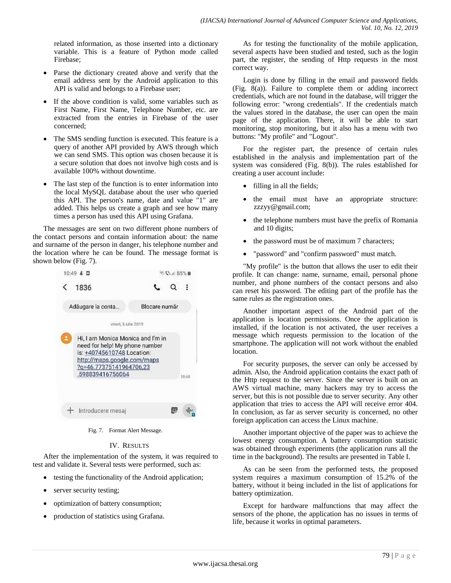related information, as those inserted into a dictionary variable. This is a feature of Python mode called Firebase;

- Parse the dictionary created above and verify that the email address sent by the Android application to this API is valid and belongs to a Firebase user;
- If the above condition is valid, some variables such as First Name, First Name, Telephone Number, etc. are extracted from the entries in Firebase of the user concerned;
- The SMS sending function is executed. This feature is a query of another API provided by AWS through which we can send SMS. This option was chosen because it is a secure solution that does not involve high costs and is available 100% without downtime.
- The last step of the function is to enter information into the local MySQL database about the user who queried this API. The person's name, date and value "1" are added. This helps us create a graph and see how many times a person has used this API using Grafana.

The messages are sent on two different phone numbers of the contact persons and contain information about: the name and surname of the person in danger, his telephone number and the location where he can be found. The message format is shown below (Fig. 7).



Fig. 7. Format Alert Message.

## IV. RESULTS

After the implementation of the system, it was required to test and validate it. Several tests were performed, such as:

- testing the functionality of the Android application;
- server security testing;
- optimization of battery consumption;
- production of statistics using Grafana.

As for testing the functionality of the mobile application, several aspects have been studied and tested, such as the login part, the register, the sending of Http requests in the most correct way.

Login is done by filling in the email and password fields (Fig. 8(a)). Failure to complete them or adding incorrect credentials, which are not found in the database, will trigger the following error: "wrong credentials". If the credentials match the values stored in the database, the user can open the main page of the application. There, it will be able to start monitoring, stop monitoring, but it also has a menu with two buttons: "My profile" and "Logout".

For the register part, the presence of certain rules established in the analysis and implementation part of the system was considered (Fig. 8(b)). The rules established for creating a user account include:

- filling in all the fields;
- the email must have an appropriate structure: zzzyy@gmail.com;
- the telephone numbers must have the prefix of Romania and 10 digits;
- the password must be of maximum 7 characters;
- "password" and "confirm password" must match.

"My profile" is the button that allows the user to edit their profile. It can change: name, surname, email, personal phone number, and phone numbers of the contact persons and also can reset his password. The editing part of the profile has the same rules as the registration ones.

Another important aspect of the Android part of the application is location permissions. Once the application is installed, if the location is not activated, the user receives a message which requests permission to the location of the smartphone. The application will not work without the enabled location.

For security purposes, the server can only be accessed by admin. Also, the Android application contains the exact path of the Http request to the server. Since the server is built on an AWS virtual machine, many hackers may try to access the server, but this is not possible due to server security. Any other application that tries to access the API will receive error 404. In conclusion, as far as server security is concerned, no other foreign application can access the Linux machine.

Another important objective of the paper was to achieve the lowest energy consumption. A battery consumption statistic was obtained through experiments (the application runs all the time in the background). The results are presented in Table I.

As can be seen from the performed tests, the proposed system requires a maximum consumption of 15.2% of the battery, without it being included in the list of applications for battery optimization.

Except for hardware malfunctions that may affect the sensors of the phone, the application has no issues in terms of life, because it works in optimal parameters.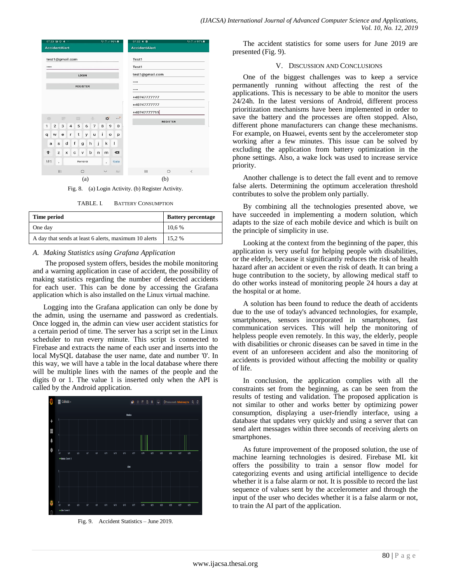

Fig. 8. (a) Login Activity. (b) Register Activity.

TABLE. I. BATTERY CONSUMPTION

| Time period                                           | <b>Battery percentage</b> |
|-------------------------------------------------------|---------------------------|
| One day                                               | 10.6 %                    |
| A day that sends at least 6 alerts, maximum 10 alerts | 15.2 %                    |

#### *A. Making Statistics using Grafana Application*

The proposed system offers, besides the mobile monitoring and a warning application in case of accident, the possibility of making statistics regarding the number of detected accidents for each user. This can be done by accessing the Grafana application which is also installed on the Linux virtual machine.

Logging into the Grafana application can only be done by the admin, using the username and password as credentials. Once logged in, the admin can view user accident statistics for a certain period of time. The server has a script set in the Linux scheduler to run every minute. This script is connected to Firebase and extracts the name of each user and inserts into the local MySQL database the user name, date and number '0'. In this way, we will have a table in the local database where there will be multiple lines with the names of the people and the digits 0 or 1. The value 1 is inserted only when the API is called by the Android application.



Fig. 9. Accident Statistics – June 2019.

The accident statistics for some users for June 2019 are presented (Fig. 9).

#### V. DISCUSSION AND CONCLUSIONS

One of the biggest challenges was to keep a service permanently running without affecting the rest of the applications. This is necessary to be able to monitor the users 24/24h. In the latest versions of Android, different process prioritization mechanisms have been implemented in order to save the battery and the processes are often stopped. Also, different phone manufacturers can change these mechanisms. For example, on Huawei, events sent by the accelerometer stop working after a few minutes. This issue can be solved by excluding the application from battery optimization in the phone settings. Also, a wake lock was used to increase service priority.

Another challenge is to detect the fall event and to remove false alerts. Determining the optimum acceleration threshold contributes to solve the problem only partially.

By combining all the technologies presented above, we have succeeded in implementing a modern solution, which adapts to the size of each mobile device and which is built on the principle of simplicity in use.

Looking at the context from the beginning of the paper, this application is very useful for helping people with disabilities, or the elderly, because it significantly reduces the risk of health hazard after an accident or even the risk of death. It can bring a huge contribution to the society, by allowing medical staff to do other works instead of monitoring people 24 hours a day at the hospital or at home.

A solution has been found to reduce the death of accidents due to the use of today's advanced technologies, for example, smartphones, sensors incorporated in smartphones, fast communication services. This will help the monitoring of helpless people even remotely. In this way, the elderly, people with disabilities or chronic diseases can be saved in time in the event of an unforeseen accident and also the monitoring of accidents is provided without affecting the mobility or quality of life.

In conclusion, the application complies with all the constraints set from the beginning, as can be seen from the results of testing and validation. The proposed application is not similar to other and works better by optimizing power consumption, displaying a user-friendly interface, using a database that updates very quickly and using a server that can send alert messages within three seconds of receiving alerts on smartphones.

As future improvement of the proposed solution, the use of machine learning technologies is desired. Firebase ML kit offers the possibility to train a sensor flow model for categorizing events and using artificial intelligence to decide whether it is a false alarm or not. It is possible to record the last sequence of values sent by the accelerometer and through the input of the user who decides whether it is a false alarm or not, to train the AI part of the application.